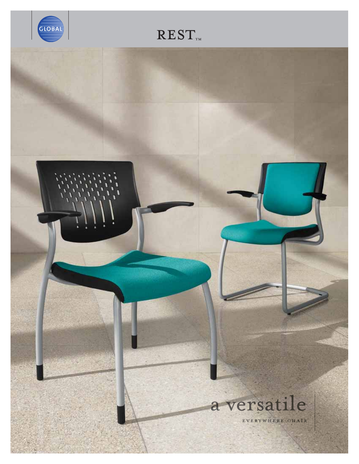

# $REST_{\text{TM}}$